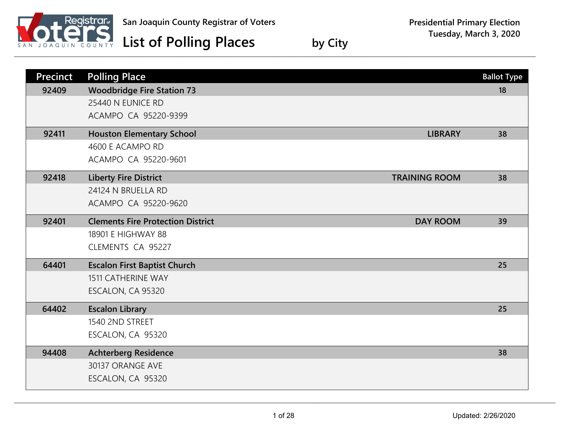

| <b>Precinct</b> | <b>Polling Place</b>                                        | <b>Ballot Type</b> |
|-----------------|-------------------------------------------------------------|--------------------|
| 92409           | <b>Woodbridge Fire Station 73</b>                           | 18                 |
|                 | 25440 N EUNICE RD                                           |                    |
|                 | ACAMPO CA 95220-9399                                        |                    |
| 92411           | <b>Houston Elementary School</b><br><b>LIBRARY</b>          | 38                 |
|                 | 4600 E ACAMPO RD                                            |                    |
|                 | ACAMPO CA 95220-9601                                        |                    |
| 92418           | <b>Liberty Fire District</b><br><b>TRAINING ROOM</b>        | 38                 |
|                 | 24124 N BRUELLA RD                                          |                    |
|                 | ACAMPO CA 95220-9620                                        |                    |
| 92401           | <b>Clements Fire Protection District</b><br><b>DAY ROOM</b> | 39                 |
|                 | 18901 E HIGHWAY 88                                          |                    |
|                 | CLEMENTS CA 95227                                           |                    |
| 64401           | <b>Escalon First Baptist Church</b>                         | 25                 |
|                 | <b>1511 CATHERINE WAY</b>                                   |                    |
|                 | ESCALON, CA 95320                                           |                    |
| 64402           | <b>Escalon Library</b>                                      | 25                 |
|                 | 1540 2ND STREET                                             |                    |
|                 | ESCALON, CA 95320                                           |                    |
| 94408           | <b>Achterberg Residence</b>                                 | 38                 |
|                 | 30137 ORANGE AVE                                            |                    |
|                 | ESCALON, CA 95320                                           |                    |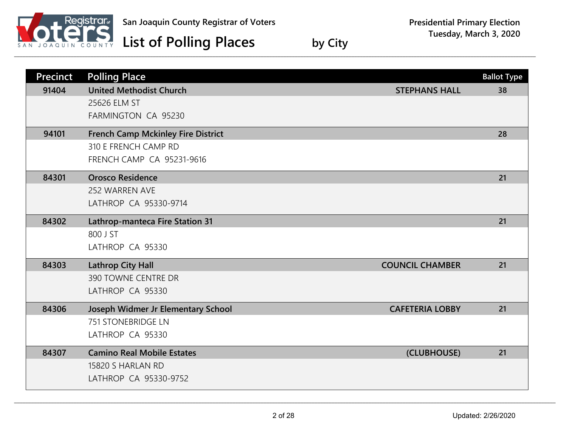

## **Presidential Primary Election Tuesday, March 3, 2020**

| <b>Precinct</b> | <b>Polling Place</b>                      |                        | <b>Ballot Type</b> |
|-----------------|-------------------------------------------|------------------------|--------------------|
| 91404           | <b>United Methodist Church</b>            | <b>STEPHANS HALL</b>   | 38                 |
|                 | 25626 ELM ST                              |                        |                    |
|                 | FARMINGTON CA 95230                       |                        |                    |
| 94101           | <b>French Camp Mckinley Fire District</b> |                        | 28                 |
|                 | 310 E FRENCH CAMP RD                      |                        |                    |
|                 | <b>FRENCH CAMP CA 95231-9616</b>          |                        |                    |
| 84301           | <b>Orosco Residence</b>                   |                        | 21                 |
|                 | 252 WARREN AVE                            |                        |                    |
|                 | LATHROP CA 95330-9714                     |                        |                    |
| 84302           | Lathrop-manteca Fire Station 31           |                        | 21                 |
|                 | 800 J ST                                  |                        |                    |
|                 | LATHROP CA 95330                          |                        |                    |
| 84303           | <b>Lathrop City Hall</b>                  | <b>COUNCIL CHAMBER</b> | 21                 |
|                 | 390 TOWNE CENTRE DR                       |                        |                    |
|                 | LATHROP CA 95330                          |                        |                    |
| 84306           | Joseph Widmer Jr Elementary School        | <b>CAFETERIA LOBBY</b> | 21                 |
|                 | <b>751 STONEBRIDGE LN</b>                 |                        |                    |
|                 | LATHROP CA 95330                          |                        |                    |
| 84307           | <b>Camino Real Mobile Estates</b>         | (CLUBHOUSE)            | 21                 |
|                 | 15820 S HARLAN RD                         |                        |                    |
|                 | LATHROP CA 95330-9752                     |                        |                    |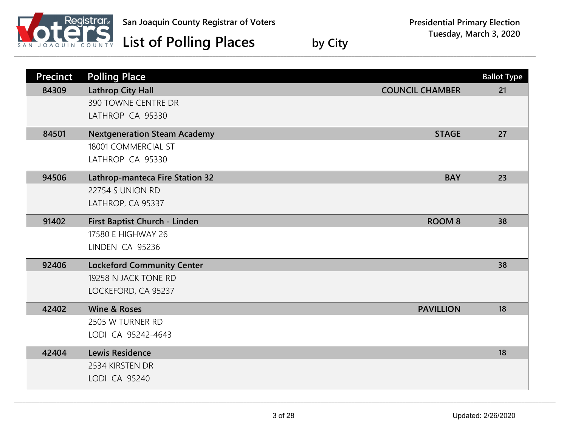

| <b>Precinct</b> | <b>Polling Place</b>                   |                        | <b>Ballot Type</b> |
|-----------------|----------------------------------------|------------------------|--------------------|
| 84309           | <b>Lathrop City Hall</b>               | <b>COUNCIL CHAMBER</b> | 21                 |
|                 | 390 TOWNE CENTRE DR                    |                        |                    |
|                 | LATHROP CA 95330                       |                        |                    |
| 84501           | <b>Nextgeneration Steam Academy</b>    | <b>STAGE</b>           | 27                 |
|                 | 18001 COMMERCIAL ST                    |                        |                    |
|                 | LATHROP CA 95330                       |                        |                    |
| 94506           | <b>Lathrop-manteca Fire Station 32</b> | <b>BAY</b>             | 23                 |
|                 | 22754 S UNION RD                       |                        |                    |
|                 | LATHROP, CA 95337                      |                        |                    |
| 91402           | First Baptist Church - Linden          | <b>ROOM 8</b>          | 38                 |
|                 | 17580 E HIGHWAY 26                     |                        |                    |
|                 | LINDEN CA 95236                        |                        |                    |
| 92406           | <b>Lockeford Community Center</b>      |                        | 38                 |
|                 | 19258 N JACK TONE RD                   |                        |                    |
|                 | LOCKEFORD, CA 95237                    |                        |                    |
| 42402           | <b>Wine &amp; Roses</b>                | <b>PAVILLION</b>       | 18                 |
|                 | 2505 W TURNER RD                       |                        |                    |
|                 | LODI CA 95242-4643                     |                        |                    |
| 42404           | <b>Lewis Residence</b>                 |                        | 18                 |
|                 | 2534 KIRSTEN DR                        |                        |                    |
|                 | LODI CA 95240                          |                        |                    |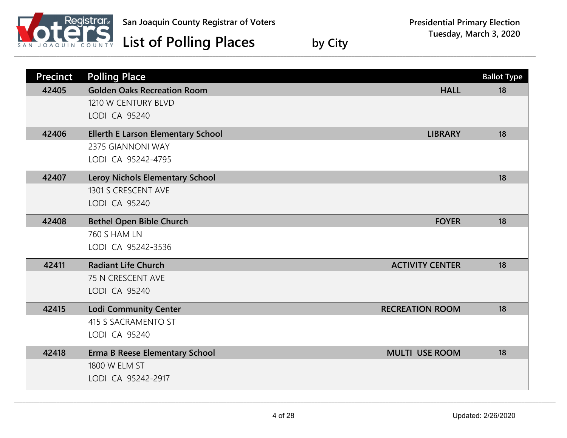

| <b>Precinct</b> | <b>Polling Place</b>                      |                        | <b>Ballot Type</b> |
|-----------------|-------------------------------------------|------------------------|--------------------|
| 42405           | <b>Golden Oaks Recreation Room</b>        | <b>HALL</b>            | 18                 |
|                 | 1210 W CENTURY BLVD                       |                        |                    |
|                 | LODI CA 95240                             |                        |                    |
| 42406           | <b>Ellerth E Larson Elementary School</b> | <b>LIBRARY</b>         | 18                 |
|                 | 2375 GIANNONI WAY                         |                        |                    |
|                 | LODI CA 95242-4795                        |                        |                    |
| 42407           | <b>Leroy Nichols Elementary School</b>    |                        | 18                 |
|                 | 1301 S CRESCENT AVE                       |                        |                    |
|                 | LODI CA 95240                             |                        |                    |
| 42408           | <b>Bethel Open Bible Church</b>           | <b>FOYER</b>           | 18                 |
|                 | <b>760 S HAM LN</b>                       |                        |                    |
|                 | LODI CA 95242-3536                        |                        |                    |
| 42411           | <b>Radiant Life Church</b>                | <b>ACTIVITY CENTER</b> | 18                 |
|                 | 75 N CRESCENT AVE                         |                        |                    |
|                 | LODI CA 95240                             |                        |                    |
| 42415           | <b>Lodi Community Center</b>              | <b>RECREATION ROOM</b> | 18                 |
|                 | 415 S SACRAMENTO ST                       |                        |                    |
|                 | LODI CA 95240                             |                        |                    |
| 42418           | <b>Erma B Reese Elementary School</b>     | <b>MULTI USE ROOM</b>  | 18                 |
|                 | 1800 W ELM ST                             |                        |                    |
|                 | LODI CA 95242-2917                        |                        |                    |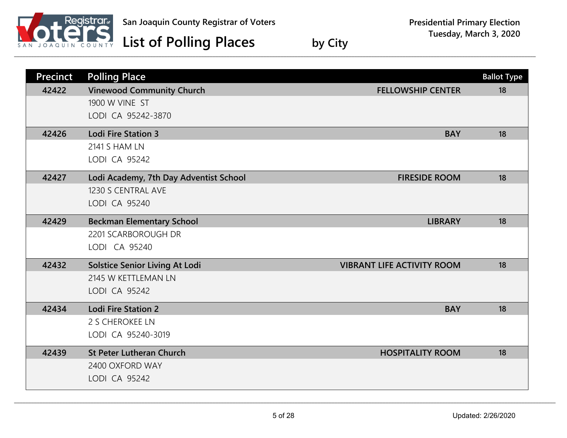

| <b>Precinct</b> | <b>Polling Place</b>                   |                                   | <b>Ballot Type</b> |
|-----------------|----------------------------------------|-----------------------------------|--------------------|
| 42422           | <b>Vinewood Community Church</b>       | <b>FELLOWSHIP CENTER</b>          | 18                 |
|                 | 1900 W VINE ST                         |                                   |                    |
|                 | LODI CA 95242-3870                     |                                   |                    |
| 42426           | <b>Lodi Fire Station 3</b>             | <b>BAY</b>                        | 18                 |
|                 | <b>2141 S HAM LN</b>                   |                                   |                    |
|                 | LODI CA 95242                          |                                   |                    |
| 42427           | Lodi Academy, 7th Day Adventist School | <b>FIRESIDE ROOM</b>              | 18                 |
|                 | 1230 S CENTRAL AVE                     |                                   |                    |
|                 | LODI CA 95240                          |                                   |                    |
| 42429           | <b>Beckman Elementary School</b>       | <b>LIBRARY</b>                    | 18                 |
|                 | 2201 SCARBOROUGH DR                    |                                   |                    |
|                 | LODI CA 95240                          |                                   |                    |
| 42432           | <b>Solstice Senior Living At Lodi</b>  | <b>VIBRANT LIFE ACTIVITY ROOM</b> | 18                 |
|                 | 2145 W KETTLEMAN LN                    |                                   |                    |
|                 | LODI CA 95242                          |                                   |                    |
| 42434           | <b>Lodi Fire Station 2</b>             | <b>BAY</b>                        | 18                 |
|                 | 2 S CHEROKEE LN                        |                                   |                    |
|                 | LODI CA 95240-3019                     |                                   |                    |
| 42439           | <b>St Peter Lutheran Church</b>        | <b>HOSPITALITY ROOM</b>           | 18                 |
|                 | 2400 OXFORD WAY                        |                                   |                    |
|                 | LODI CA 95242                          |                                   |                    |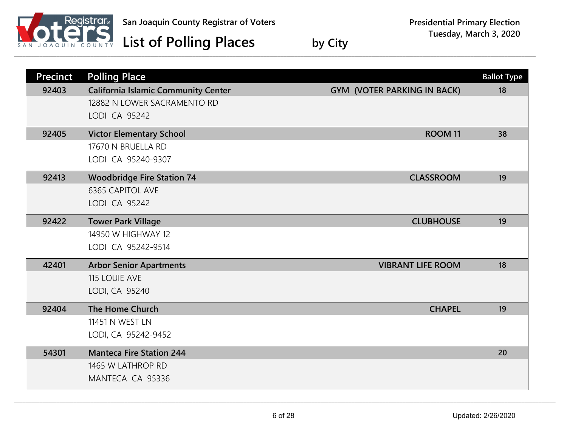

| <b>Precinct</b> | <b>Polling Place</b>                       |                                    | <b>Ballot Type</b> |
|-----------------|--------------------------------------------|------------------------------------|--------------------|
| 92403           | <b>California Islamic Community Center</b> | <b>GYM (VOTER PARKING IN BACK)</b> | 18                 |
|                 | 12882 N LOWER SACRAMENTO RD                |                                    |                    |
|                 | LODI CA 95242                              |                                    |                    |
| 92405           | <b>Victor Elementary School</b>            | ROOM <sub>11</sub>                 | 38                 |
|                 | 17670 N BRUELLA RD                         |                                    |                    |
|                 | LODI CA 95240-9307                         |                                    |                    |
| 92413           | <b>Woodbridge Fire Station 74</b>          | <b>CLASSROOM</b>                   | 19                 |
|                 | <b>6365 CAPITOL AVE</b>                    |                                    |                    |
|                 | LODI CA 95242                              |                                    |                    |
| 92422           | <b>Tower Park Village</b>                  | <b>CLUBHOUSE</b>                   | 19                 |
|                 | 14950 W HIGHWAY 12                         |                                    |                    |
|                 | LODI CA 95242-9514                         |                                    |                    |
| 42401           | <b>Arbor Senior Apartments</b>             | <b>VIBRANT LIFE ROOM</b>           | 18                 |
|                 | 115 LOUIE AVE                              |                                    |                    |
|                 | LODI, CA 95240                             |                                    |                    |
| 92404           | The Home Church                            | <b>CHAPEL</b>                      | 19                 |
|                 | 11451 N WEST LN                            |                                    |                    |
|                 | LODI, CA 95242-9452                        |                                    |                    |
| 54301           | <b>Manteca Fire Station 244</b>            |                                    | 20                 |
|                 | 1465 W LATHROP RD                          |                                    |                    |
|                 | MANTECA CA 95336                           |                                    |                    |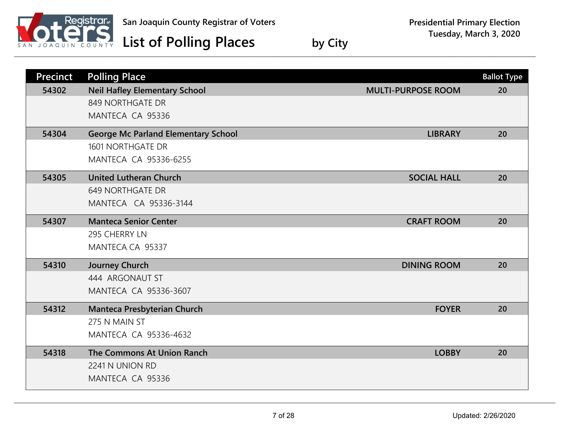

| <b>Precinct</b> | <b>Polling Place</b>                       |                           | <b>Ballot Type</b> |
|-----------------|--------------------------------------------|---------------------------|--------------------|
| 54302           | <b>Neil Hafley Elementary School</b>       | <b>MULTI-PURPOSE ROOM</b> | 20                 |
|                 | 849 NORTHGATE DR                           |                           |                    |
|                 | MANTECA CA 95336                           |                           |                    |
| 54304           | <b>George Mc Parland Elementary School</b> | <b>LIBRARY</b>            | 20                 |
|                 | <b>1601 NORTHGATE DR</b>                   |                           |                    |
|                 | <b>MANTECA CA 95336-6255</b>               |                           |                    |
| 54305           | <b>United Lutheran Church</b>              | <b>SOCIAL HALL</b>        | 20                 |
|                 | <b>649 NORTHGATE DR</b>                    |                           |                    |
|                 | MANTECA CA 95336-3144                      |                           |                    |
| 54307           | <b>Manteca Senior Center</b>               | <b>CRAFT ROOM</b>         | 20                 |
|                 | 295 CHERRY LN                              |                           |                    |
|                 | MANTECA CA 95337                           |                           |                    |
| 54310           | Journey Church                             | <b>DINING ROOM</b>        | 20                 |
|                 | 444 ARGONAUT ST                            |                           |                    |
|                 | MANTECA CA 95336-3607                      |                           |                    |
| 54312           | Manteca Presbyterian Church                | <b>FOYER</b>              | 20                 |
|                 | 275 N MAIN ST                              |                           |                    |
|                 | <b>MANTECA CA 95336-4632</b>               |                           |                    |
| 54318           | The Commons At Union Ranch                 | <b>LOBBY</b>              | 20                 |
|                 | 2241 N UNION RD                            |                           |                    |
|                 | MANTECA CA 95336                           |                           |                    |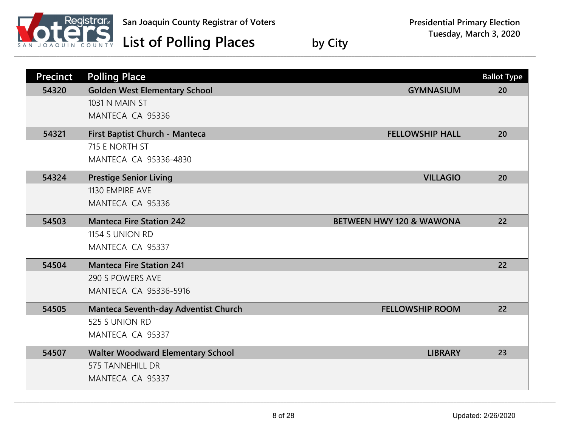

| <b>Precinct</b> | <b>Polling Place</b>                     |                                     | <b>Ballot Type</b> |
|-----------------|------------------------------------------|-------------------------------------|--------------------|
| 54320           | <b>Golden West Elementary School</b>     | <b>GYMNASIUM</b>                    | 20                 |
|                 | 1031 N MAIN ST                           |                                     |                    |
|                 | MANTECA CA 95336                         |                                     |                    |
| 54321           | First Baptist Church - Manteca           | <b>FELLOWSHIP HALL</b>              | 20                 |
|                 | 715 E NORTH ST                           |                                     |                    |
|                 | MANTECA CA 95336-4830                    |                                     |                    |
| 54324           | <b>Prestige Senior Living</b>            | <b>VILLAGIO</b>                     | 20                 |
|                 | 1130 EMPIRE AVE                          |                                     |                    |
|                 | MANTECA CA 95336                         |                                     |                    |
| 54503           | <b>Manteca Fire Station 242</b>          | <b>BETWEEN HWY 120 &amp; WAWONA</b> | 22                 |
|                 | 1154 S UNION RD                          |                                     |                    |
|                 | MANTECA CA 95337                         |                                     |                    |
| 54504           | <b>Manteca Fire Station 241</b>          |                                     | 22                 |
|                 | 290 S POWERS AVE                         |                                     |                    |
|                 | <b>MANTECA CA 95336-5916</b>             |                                     |                    |
| 54505           | Manteca Seventh-day Adventist Church     | <b>FELLOWSHIP ROOM</b>              | 22                 |
|                 | 525 S UNION RD                           |                                     |                    |
|                 | MANTECA CA 95337                         |                                     |                    |
| 54507           | <b>Walter Woodward Elementary School</b> | <b>LIBRARY</b>                      | 23                 |
|                 | <b>575 TANNEHILL DR</b>                  |                                     |                    |
|                 | MANTECA CA 95337                         |                                     |                    |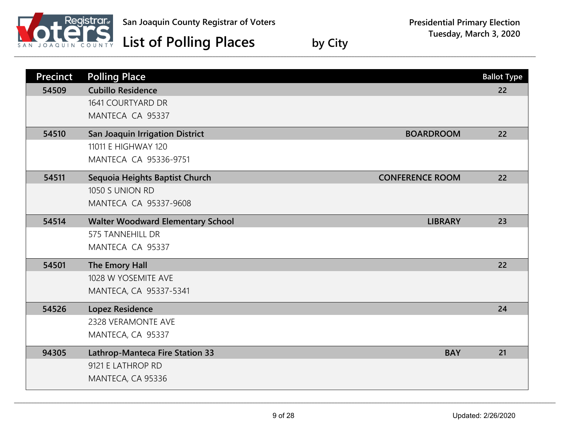

| <b>Precinct</b> | <b>Polling Place</b>                                       | <b>Ballot Type</b> |
|-----------------|------------------------------------------------------------|--------------------|
| 54509           | <b>Cubillo Residence</b>                                   | 22                 |
|                 | 1641 COURTYARD DR                                          |                    |
|                 | MANTECA CA 95337                                           |                    |
| 54510           | <b>San Joaquin Irrigation District</b><br><b>BOARDROOM</b> | 22                 |
|                 | 11011 E HIGHWAY 120                                        |                    |
|                 | MANTECA CA 95336-9751                                      |                    |
| 54511           | <b>CONFERENCE ROOM</b><br>Sequoia Heights Baptist Church   | 22                 |
|                 | 1050 S UNION RD                                            |                    |
|                 | MANTECA CA 95337-9608                                      |                    |
| 54514           | <b>Walter Woodward Elementary School</b><br><b>LIBRARY</b> | 23                 |
|                 | <b>575 TANNEHILL DR</b>                                    |                    |
|                 | MANTECA CA 95337                                           |                    |
| 54501           | The Emory Hall                                             | 22                 |
|                 | 1028 W YOSEMITE AVE                                        |                    |
|                 | MANTECA, CA 95337-5341                                     |                    |
| 54526           | <b>Lopez Residence</b>                                     | 24                 |
|                 | 2328 VERAMONTE AVE                                         |                    |
|                 | MANTECA, CA 95337                                          |                    |
| 94305           | <b>Lathrop-Manteca Fire Station 33</b><br><b>BAY</b>       | 21                 |
|                 | 9121 E LATHROP RD                                          |                    |
|                 | MANTECA, CA 95336                                          |                    |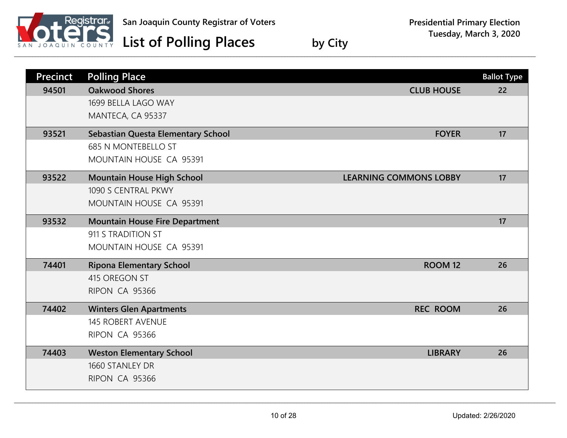

| <b>Precinct</b> | <b>Polling Place</b>                  |                               | <b>Ballot Type</b> |
|-----------------|---------------------------------------|-------------------------------|--------------------|
| 94501           | <b>Oakwood Shores</b>                 | <b>CLUB HOUSE</b>             | 22                 |
|                 | 1699 BELLA LAGO WAY                   |                               |                    |
|                 | MANTECA, CA 95337                     |                               |                    |
| 93521           | Sebastian Questa Elementary School    | <b>FOYER</b>                  | 17                 |
|                 | <b>685 N MONTEBELLO ST</b>            |                               |                    |
|                 | MOUNTAIN HOUSE CA 95391               |                               |                    |
| 93522           | <b>Mountain House High School</b>     | <b>LEARNING COMMONS LOBBY</b> | 17                 |
|                 | 1090 S CENTRAL PKWY                   |                               |                    |
|                 | MOUNTAIN HOUSE CA 95391               |                               |                    |
| 93532           | <b>Mountain House Fire Department</b> |                               | 17                 |
|                 | 911 S TRADITION ST                    |                               |                    |
|                 | MOUNTAIN HOUSE CA 95391               |                               |                    |
| 74401           | <b>Ripona Elementary School</b>       | <b>ROOM 12</b>                | 26                 |
|                 | 415 OREGON ST                         |                               |                    |
|                 | RIPON CA 95366                        |                               |                    |
| 74402           | <b>Winters Glen Apartments</b>        | <b>REC ROOM</b>               | 26                 |
|                 | <b>145 ROBERT AVENUE</b>              |                               |                    |
|                 | RIPON CA 95366                        |                               |                    |
| 74403           | <b>Weston Elementary School</b>       | <b>LIBRARY</b>                | 26                 |
|                 | 1660 STANLEY DR                       |                               |                    |
|                 | RIPON CA 95366                        |                               |                    |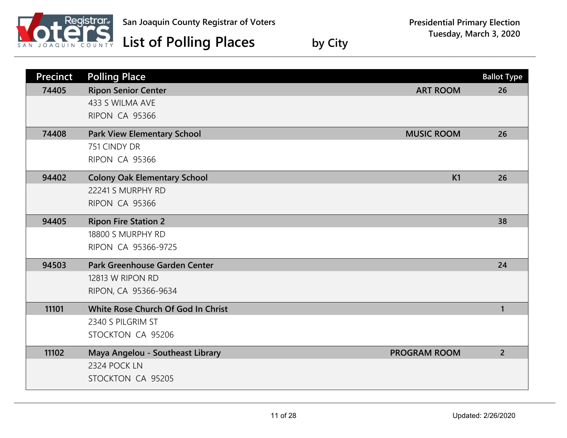

| <b>Precinct</b> | <b>Polling Place</b>                |                     | <b>Ballot Type</b> |
|-----------------|-------------------------------------|---------------------|--------------------|
| 74405           | <b>Ripon Senior Center</b>          | <b>ART ROOM</b>     | 26                 |
|                 | 433 S WILMA AVE                     |                     |                    |
|                 | RIPON CA 95366                      |                     |                    |
| 74408           | <b>Park View Elementary School</b>  | <b>MUSIC ROOM</b>   | 26                 |
|                 | 751 CINDY DR                        |                     |                    |
|                 | RIPON CA 95366                      |                     |                    |
| 94402           | <b>Colony Oak Elementary School</b> | K1                  | 26                 |
|                 | 22241 S MURPHY RD                   |                     |                    |
|                 | <b>RIPON CA 95366</b>               |                     |                    |
| 94405           | <b>Ripon Fire Station 2</b>         |                     | 38                 |
|                 | 18800 S MURPHY RD                   |                     |                    |
|                 | RIPON CA 95366-9725                 |                     |                    |
| 94503           | Park Greenhouse Garden Center       |                     | 24                 |
|                 | 12813 W RIPON RD                    |                     |                    |
|                 | RIPON, CA 95366-9634                |                     |                    |
| 11101           | White Rose Church Of God In Christ  |                     | $\mathbf{1}$       |
|                 | 2340 S PILGRIM ST                   |                     |                    |
|                 | STOCKTON CA 95206                   |                     |                    |
| 11102           | Maya Angelou - Southeast Library    | <b>PROGRAM ROOM</b> | $\overline{2}$     |
|                 | 2324 POCK LN                        |                     |                    |
|                 | STOCKTON CA 95205                   |                     |                    |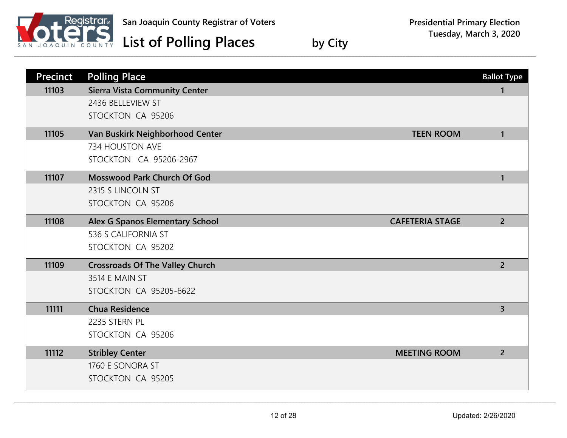

| <b>Precinct</b> | <b>Polling Place</b>                                                   | <b>Ballot Type</b> |
|-----------------|------------------------------------------------------------------------|--------------------|
| 11103           | <b>Sierra Vista Community Center</b><br>2436 BELLEVIEW ST              | 1                  |
|                 | STOCKTON CA 95206                                                      |                    |
| 11105           |                                                                        | $\mathbf{1}$       |
|                 | Van Buskirk Neighborhood Center<br><b>TEEN ROOM</b><br>734 HOUSTON AVE |                    |
|                 | STOCKTON CA 95206-2967                                                 |                    |
| 11107           | Mosswood Park Church Of God                                            | $\mathbf{1}$       |
|                 | 2315 S LINCOLN ST                                                      |                    |
|                 | STOCKTON CA 95206                                                      |                    |
| 11108           | <b>Alex G Spanos Elementary School</b><br><b>CAFETERIA STAGE</b>       | $\overline{2}$     |
|                 | 536 S CALIFORNIA ST                                                    |                    |
|                 | STOCKTON CA 95202                                                      |                    |
| 11109           | <b>Crossroads Of The Valley Church</b>                                 | $\overline{2}$     |
|                 | 3514 E MAIN ST                                                         |                    |
|                 | <b>STOCKTON CA 95205-6622</b>                                          |                    |
| 11111           | <b>Chua Residence</b>                                                  | $\overline{3}$     |
|                 | 2235 STERN PL                                                          |                    |
|                 | STOCKTON CA 95206                                                      |                    |
| 11112           | <b>Stribley Center</b><br><b>MEETING ROOM</b>                          | $\overline{2}$     |
|                 | 1760 E SONORA ST                                                       |                    |
|                 | STOCKTON CA 95205                                                      |                    |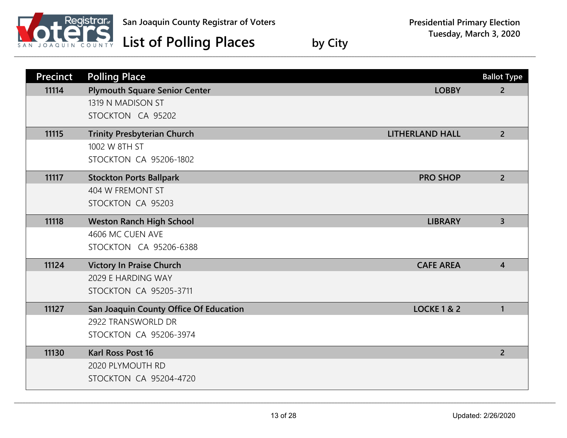

| <b>Precinct</b> | <b>Polling Place</b>                   |                        | <b>Ballot Type</b> |
|-----------------|----------------------------------------|------------------------|--------------------|
| 11114           | <b>Plymouth Square Senior Center</b>   | <b>LOBBY</b>           | $2^{\circ}$        |
|                 | 1319 N MADISON ST                      |                        |                    |
|                 | STOCKTON CA 95202                      |                        |                    |
| 11115           | <b>Trinity Presbyterian Church</b>     | <b>LITHERLAND HALL</b> | $2^{\circ}$        |
|                 | 1002 W 8TH ST                          |                        |                    |
|                 | <b>STOCKTON CA 95206-1802</b>          |                        |                    |
| 11117           | <b>Stockton Ports Ballpark</b>         | <b>PRO SHOP</b>        | 2 <sup>1</sup>     |
|                 | 404 W FREMONT ST                       |                        |                    |
|                 | STOCKTON CA 95203                      |                        |                    |
| 11118           | <b>Weston Ranch High School</b>        | <b>LIBRARY</b>         | $\overline{3}$     |
|                 | 4606 MC CUEN AVE                       |                        |                    |
|                 | STOCKTON CA 95206-6388                 |                        |                    |
| 11124           | <b>Victory In Praise Church</b>        | <b>CAFE AREA</b>       | $\overline{4}$     |
|                 | 2029 E HARDING WAY                     |                        |                    |
|                 | <b>STOCKTON CA 95205-3711</b>          |                        |                    |
| 11127           | San Joaquin County Office Of Education | <b>LOCKE 1 &amp; 2</b> | $\mathbf{1}$       |
|                 | 2922 TRANSWORLD DR                     |                        |                    |
|                 | <b>STOCKTON CA 95206-3974</b>          |                        |                    |
| 11130           | <b>Karl Ross Post 16</b>               |                        | $\overline{2}$     |
|                 | 2020 PLYMOUTH RD                       |                        |                    |
|                 | <b>STOCKTON CA 95204-4720</b>          |                        |                    |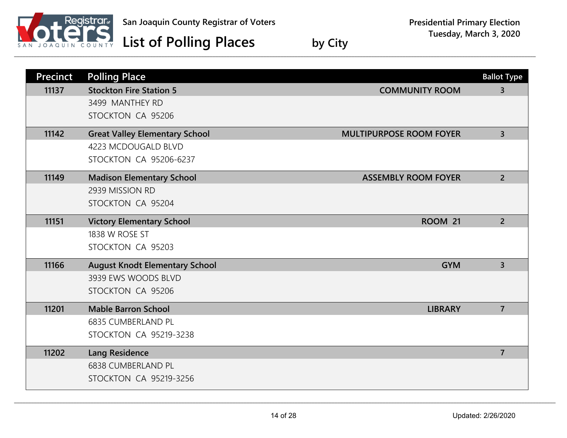

## **Presidential Primary Election Tuesday, March 3, 2020**

| <b>Precinct</b> | <b>Polling Place</b>                  |                                | <b>Ballot Type</b> |
|-----------------|---------------------------------------|--------------------------------|--------------------|
| 11137           | <b>Stockton Fire Station 5</b>        | <b>COMMUNITY ROOM</b>          | $\overline{3}$     |
|                 | 3499 MANTHEY RD                       |                                |                    |
|                 | STOCKTON CA 95206                     |                                |                    |
| 11142           | <b>Great Valley Elementary School</b> | <b>MULTIPURPOSE ROOM FOYER</b> | $\overline{3}$     |
|                 | 4223 MCDOUGALD BLVD                   |                                |                    |
|                 | <b>STOCKTON CA 95206-6237</b>         |                                |                    |
| 11149           | <b>Madison Elementary School</b>      | <b>ASSEMBLY ROOM FOYER</b>     | $\overline{2}$     |
|                 | 2939 MISSION RD                       |                                |                    |
|                 | STOCKTON CA 95204                     |                                |                    |
| 11151           | <b>Victory Elementary School</b>      | <b>ROOM 21</b>                 | $\overline{2}$     |
|                 | 1838 W ROSE ST                        |                                |                    |
|                 | STOCKTON CA 95203                     |                                |                    |
| 11166           | <b>August Knodt Elementary School</b> | <b>GYM</b>                     | $\overline{3}$     |
|                 | 3939 EWS WOODS BLVD                   |                                |                    |
|                 | STOCKTON CA 95206                     |                                |                    |
| 11201           | <b>Mable Barron School</b>            | <b>LIBRARY</b>                 | $\overline{7}$     |
|                 | <b>6835 CUMBERLAND PL</b>             |                                |                    |
|                 | <b>STOCKTON CA 95219-3238</b>         |                                |                    |
| 11202           | <b>Lang Residence</b>                 |                                | $\overline{7}$     |
|                 | <b>6838 CUMBERLAND PL</b>             |                                |                    |
|                 | <b>STOCKTON CA 95219-3256</b>         |                                |                    |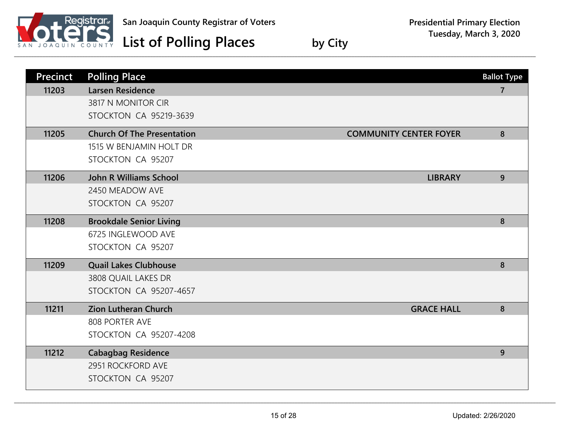

## **Presidential Primary Election Tuesday, March 3, 2020**

| <b>Precinct</b> | <b>Polling Place</b>              |                               | <b>Ballot Type</b> |
|-----------------|-----------------------------------|-------------------------------|--------------------|
| 11203           | <b>Larsen Residence</b>           |                               | 7                  |
|                 | 3817 N MONITOR CIR                |                               |                    |
|                 | <b>STOCKTON CA 95219-3639</b>     |                               |                    |
| 11205           | <b>Church Of The Presentation</b> | <b>COMMUNITY CENTER FOYER</b> | 8                  |
|                 | 1515 W BENJAMIN HOLT DR           |                               |                    |
|                 | STOCKTON CA 95207                 |                               |                    |
| 11206           | <b>John R Williams School</b>     | <b>LIBRARY</b>                | 9                  |
|                 | 2450 MEADOW AVE                   |                               |                    |
|                 | STOCKTON CA 95207                 |                               |                    |
| 11208           | <b>Brookdale Senior Living</b>    |                               | 8                  |
|                 | 6725 INGLEWOOD AVE                |                               |                    |
|                 | STOCKTON CA 95207                 |                               |                    |
| 11209           | <b>Quail Lakes Clubhouse</b>      |                               | 8                  |
|                 | 3808 QUAIL LAKES DR               |                               |                    |
|                 | <b>STOCKTON CA 95207-4657</b>     |                               |                    |
| 11211           | <b>Zion Lutheran Church</b>       | <b>GRACE HALL</b>             | 8                  |
|                 | 808 PORTER AVE                    |                               |                    |
|                 | STOCKTON CA 95207-4208            |                               |                    |
| 11212           | <b>Cabagbag Residence</b>         |                               | 9                  |
|                 | 2951 ROCKFORD AVE                 |                               |                    |
|                 | STOCKTON CA 95207                 |                               |                    |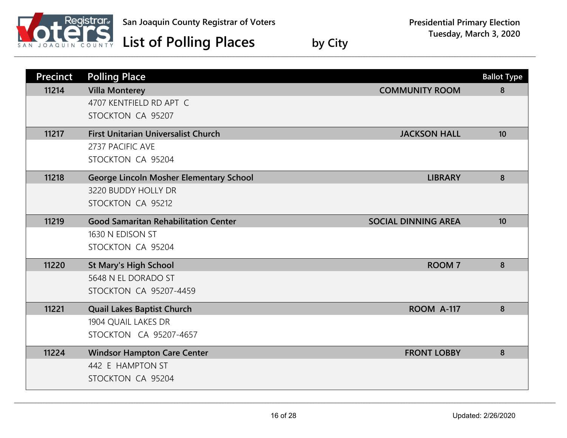

| <b>Precinct</b> | <b>Polling Place</b>                           |                            | <b>Ballot Type</b> |
|-----------------|------------------------------------------------|----------------------------|--------------------|
| 11214           | <b>Villa Monterey</b>                          | <b>COMMUNITY ROOM</b>      | 8                  |
|                 | 4707 KENTFIELD RD APT C                        |                            |                    |
|                 | STOCKTON CA 95207                              |                            |                    |
| 11217           | <b>First Unitarian Universalist Church</b>     | <b>JACKSON HALL</b>        | 10                 |
|                 | 2737 PACIFIC AVE                               |                            |                    |
|                 | STOCKTON CA 95204                              |                            |                    |
| 11218           | <b>George Lincoln Mosher Elementary School</b> | <b>LIBRARY</b>             | 8                  |
|                 | 3220 BUDDY HOLLY DR                            |                            |                    |
|                 | STOCKTON CA 95212                              |                            |                    |
| 11219           | <b>Good Samaritan Rehabilitation Center</b>    | <b>SOCIAL DINNING AREA</b> | 10                 |
|                 | 1630 N EDISON ST                               |                            |                    |
|                 | STOCKTON CA 95204                              |                            |                    |
| 11220           | <b>St Mary's High School</b>                   | <b>ROOM7</b>               | 8                  |
|                 | 5648 N EL DORADO ST                            |                            |                    |
|                 | <b>STOCKTON CA 95207-4459</b>                  |                            |                    |
| 11221           | <b>Quail Lakes Baptist Church</b>              | ROOM A-117                 | 8                  |
|                 | 1904 QUAIL LAKES DR                            |                            |                    |
|                 | STOCKTON CA 95207-4657                         |                            |                    |
| 11224           | <b>Windsor Hampton Care Center</b>             | <b>FRONT LOBBY</b>         | 8                  |
|                 | 442 E HAMPTON ST                               |                            |                    |
|                 | STOCKTON CA 95204                              |                            |                    |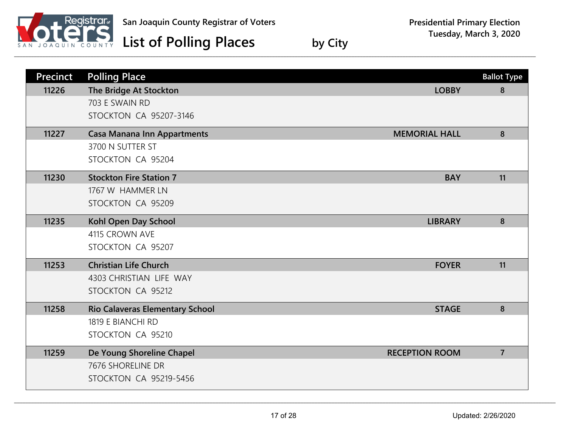

| <b>Precinct</b> | <b>Polling Place</b>                   |                       | <b>Ballot Type</b> |
|-----------------|----------------------------------------|-----------------------|--------------------|
| 11226           | The Bridge At Stockton                 | <b>LOBBY</b>          | 8                  |
|                 | 703 E SWAIN RD                         |                       |                    |
|                 | <b>STOCKTON CA 95207-3146</b>          |                       |                    |
| 11227           | <b>Casa Manana Inn Appartments</b>     | <b>MEMORIAL HALL</b>  | 8                  |
|                 | 3700 N SUTTER ST                       |                       |                    |
|                 | STOCKTON CA 95204                      |                       |                    |
| 11230           | <b>Stockton Fire Station 7</b>         | <b>BAY</b>            | 11                 |
|                 | 1767 W HAMMER LN                       |                       |                    |
|                 | STOCKTON CA 95209                      |                       |                    |
| 11235           | Kohl Open Day School                   | <b>LIBRARY</b>        | 8                  |
|                 | 4115 CROWN AVE                         |                       |                    |
|                 | STOCKTON CA 95207                      |                       |                    |
| 11253           | <b>Christian Life Church</b>           | <b>FOYER</b>          | 11                 |
|                 | 4303 CHRISTIAN LIFE WAY                |                       |                    |
|                 | STOCKTON CA 95212                      |                       |                    |
| 11258           | <b>Rio Calaveras Elementary School</b> | <b>STAGE</b>          | 8                  |
|                 | 1819 E BIANCHI RD                      |                       |                    |
|                 | STOCKTON CA 95210                      |                       |                    |
| 11259           | De Young Shoreline Chapel              | <b>RECEPTION ROOM</b> | $\overline{7}$     |
|                 | 7676 SHORELINE DR                      |                       |                    |
|                 | <b>STOCKTON CA 95219-5456</b>          |                       |                    |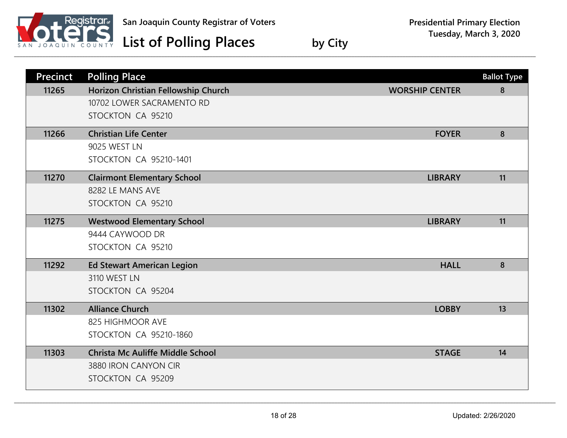

| <b>Precinct</b> | <b>Polling Place</b>                    |                       | <b>Ballot Type</b> |
|-----------------|-----------------------------------------|-----------------------|--------------------|
| 11265           | Horizon Christian Fellowship Church     | <b>WORSHIP CENTER</b> | 8                  |
|                 | 10702 LOWER SACRAMENTO RD               |                       |                    |
|                 | STOCKTON CA 95210                       |                       |                    |
| 11266           | <b>Christian Life Center</b>            | <b>FOYER</b>          | 8                  |
|                 | 9025 WEST LN                            |                       |                    |
|                 | <b>STOCKTON CA 95210-1401</b>           |                       |                    |
| 11270           | <b>Clairmont Elementary School</b>      | <b>LIBRARY</b>        | 11                 |
|                 | 8282 LE MANS AVE                        |                       |                    |
|                 | STOCKTON CA 95210                       |                       |                    |
| 11275           | <b>Westwood Elementary School</b>       | <b>LIBRARY</b>        | 11                 |
|                 | 9444 CAYWOOD DR                         |                       |                    |
|                 | STOCKTON CA 95210                       |                       |                    |
| 11292           | <b>Ed Stewart American Legion</b>       | <b>HALL</b>           | 8                  |
|                 | 3110 WEST LN                            |                       |                    |
|                 | STOCKTON CA 95204                       |                       |                    |
| 11302           | <b>Alliance Church</b>                  | <b>LOBBY</b>          | 13                 |
|                 | 825 HIGHMOOR AVE                        |                       |                    |
|                 | STOCKTON CA 95210-1860                  |                       |                    |
| 11303           | <b>Christa Mc Auliffe Middle School</b> | <b>STAGE</b>          | 14                 |
|                 | 3880 IRON CANYON CIR                    |                       |                    |
|                 | STOCKTON CA 95209                       |                       |                    |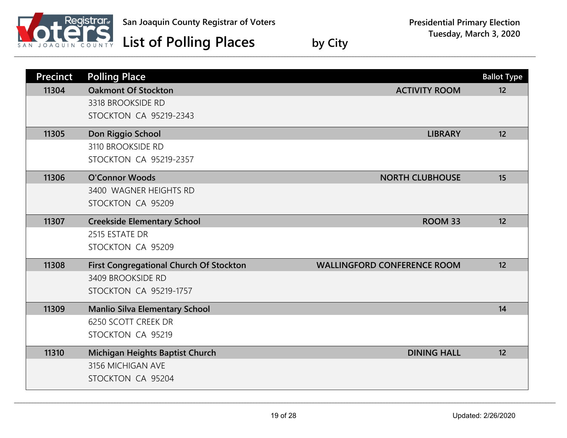

| <b>Precinct</b> | <b>Polling Place</b>                           |                                    | <b>Ballot Type</b> |
|-----------------|------------------------------------------------|------------------------------------|--------------------|
| 11304           | <b>Oakmont Of Stockton</b>                     | <b>ACTIVITY ROOM</b>               | 12                 |
|                 | 3318 BROOKSIDE RD                              |                                    |                    |
|                 | <b>STOCKTON CA 95219-2343</b>                  |                                    |                    |
| 11305           | Don Riggio School                              | <b>LIBRARY</b>                     | 12                 |
|                 | 3110 BROOKSIDE RD                              |                                    |                    |
|                 | <b>STOCKTON CA 95219-2357</b>                  |                                    |                    |
| 11306           | <b>O'Connor Woods</b>                          | <b>NORTH CLUBHOUSE</b>             | 15                 |
|                 | 3400 WAGNER HEIGHTS RD                         |                                    |                    |
|                 | STOCKTON CA 95209                              |                                    |                    |
| 11307           | <b>Creekside Elementary School</b>             | ROOM 33                            | 12                 |
|                 | 2515 ESTATE DR                                 |                                    |                    |
|                 | STOCKTON CA 95209                              |                                    |                    |
| 11308           | <b>First Congregational Church Of Stockton</b> | <b>WALLINGFORD CONFERENCE ROOM</b> | 12                 |
|                 | 3409 BROOKSIDE RD                              |                                    |                    |
|                 | <b>STOCKTON CA 95219-1757</b>                  |                                    |                    |
| 11309           | <b>Manlio Silva Elementary School</b>          |                                    | 14                 |
|                 | 6250 SCOTT CREEK DR                            |                                    |                    |
|                 | STOCKTON CA 95219                              |                                    |                    |
| 11310           | Michigan Heights Baptist Church                | <b>DINING HALL</b>                 | 12                 |
|                 | 3156 MICHIGAN AVE                              |                                    |                    |
|                 | STOCKTON CA 95204                              |                                    |                    |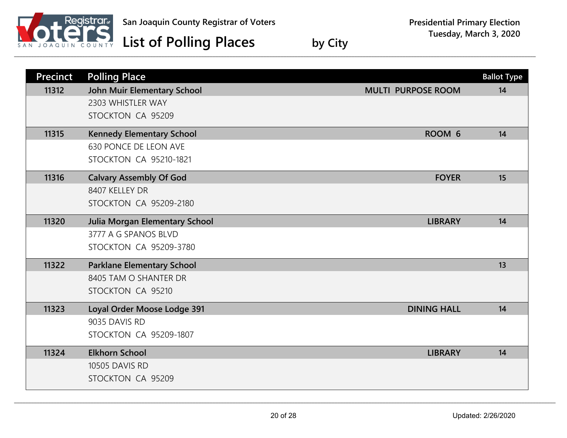

| <b>Precinct</b> | <b>Polling Place</b>                  |                           | <b>Ballot Type</b> |
|-----------------|---------------------------------------|---------------------------|--------------------|
| 11312           | <b>John Muir Elementary School</b>    | <b>MULTI PURPOSE ROOM</b> | 14                 |
|                 | 2303 WHISTLER WAY                     |                           |                    |
|                 | STOCKTON CA 95209                     |                           |                    |
| 11315           | <b>Kennedy Elementary School</b>      | ROOM 6                    | 14                 |
|                 | <b>630 PONCE DE LEON AVE</b>          |                           |                    |
|                 | <b>STOCKTON CA 95210-1821</b>         |                           |                    |
| 11316           | <b>Calvary Assembly Of God</b>        | <b>FOYER</b>              | 15                 |
|                 | 8407 KELLEY DR                        |                           |                    |
|                 | <b>STOCKTON CA 95209-2180</b>         |                           |                    |
| 11320           | <b>Julia Morgan Elementary School</b> | <b>LIBRARY</b>            | 14                 |
|                 | 3777 A G SPANOS BLVD                  |                           |                    |
|                 | <b>STOCKTON CA 95209-3780</b>         |                           |                    |
| 11322           | <b>Parklane Elementary School</b>     |                           | 13                 |
|                 | 8405 TAM O SHANTER DR                 |                           |                    |
|                 | STOCKTON CA 95210                     |                           |                    |
| 11323           | Loyal Order Moose Lodge 391           | <b>DINING HALL</b>        | 14                 |
|                 | 9035 DAVIS RD                         |                           |                    |
|                 | <b>STOCKTON CA 95209-1807</b>         |                           |                    |
| 11324           | <b>Elkhorn School</b>                 | <b>LIBRARY</b>            | 14                 |
|                 | 10505 DAVIS RD                        |                           |                    |
|                 | STOCKTON CA 95209                     |                           |                    |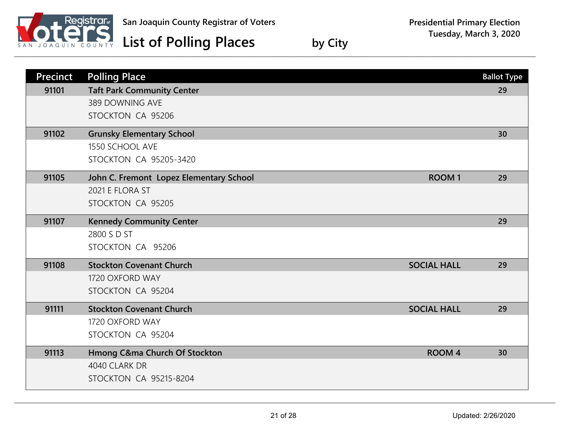

| <b>Precinct</b> | <b>Polling Place</b>                                    | <b>Ballot Type</b> |
|-----------------|---------------------------------------------------------|--------------------|
| 91101           | <b>Taft Park Community Center</b>                       | 29                 |
|                 | 389 DOWNING AVE                                         |                    |
|                 | STOCKTON CA 95206                                       |                    |
| 91102           | <b>Grunsky Elementary School</b>                        | 30                 |
|                 | 1550 SCHOOL AVE                                         |                    |
|                 | <b>STOCKTON CA 95205-3420</b>                           |                    |
| 91105           | John C. Fremont Lopez Elementary School<br><b>ROOM1</b> | 29                 |
|                 | 2021 E FLORA ST                                         |                    |
|                 | STOCKTON CA 95205                                       |                    |
| 91107           | <b>Kennedy Community Center</b>                         | 29                 |
|                 | 2800 S D ST                                             |                    |
|                 | STOCKTON CA 95206                                       |                    |
| 91108           | <b>Stockton Covenant Church</b><br><b>SOCIAL HALL</b>   | 29                 |
|                 | 1720 OXFORD WAY                                         |                    |
|                 | STOCKTON CA 95204                                       |                    |
| 91111           | <b>Stockton Covenant Church</b><br><b>SOCIAL HALL</b>   | 29                 |
|                 | 1720 OXFORD WAY                                         |                    |
|                 | STOCKTON CA 95204                                       |                    |
| 91113           | Hmong C&ma Church Of Stockton<br><b>ROOM 4</b>          | 30                 |
|                 | 4040 CLARK DR                                           |                    |
|                 | <b>STOCKTON CA 95215-8204</b>                           |                    |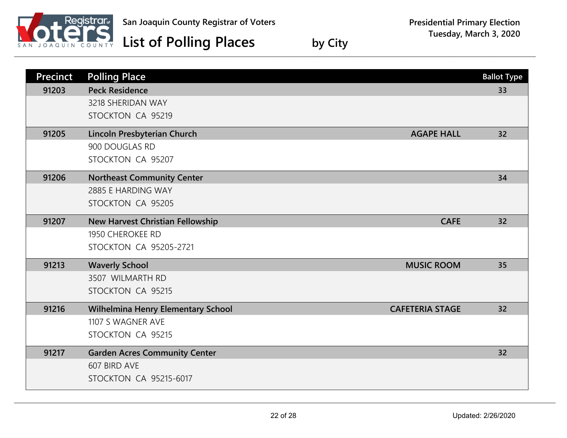

| <b>Precinct</b> | <b>Polling Place</b>                                                | <b>Ballot Type</b> |
|-----------------|---------------------------------------------------------------------|--------------------|
| 91203           | <b>Peck Residence</b><br>3218 SHERIDAN WAY                          | 33                 |
|                 | STOCKTON CA 95219                                                   |                    |
| 91205           | Lincoln Presbyterian Church<br><b>AGAPE HALL</b>                    | 32                 |
|                 | 900 DOUGLAS RD                                                      |                    |
|                 | STOCKTON CA 95207                                                   |                    |
| 91206           | <b>Northeast Community Center</b>                                   | 34                 |
|                 | 2885 E HARDING WAY                                                  |                    |
|                 | STOCKTON CA 95205                                                   |                    |
| 91207           | <b>CAFE</b><br>New Harvest Christian Fellowship                     | 32                 |
|                 | 1950 CHEROKEE RD                                                    |                    |
|                 | <b>STOCKTON CA 95205-2721</b>                                       |                    |
| 91213           | <b>Waverly School</b><br><b>MUSIC ROOM</b>                          | 35                 |
|                 | 3507 WILMARTH RD                                                    |                    |
|                 | STOCKTON CA 95215                                                   |                    |
| 91216           | <b>CAFETERIA STAGE</b><br><b>Wilhelmina Henry Elementary School</b> | 32                 |
|                 | 1107 S WAGNER AVE                                                   |                    |
|                 | STOCKTON CA 95215                                                   |                    |
| 91217           | <b>Garden Acres Community Center</b>                                | 32                 |
|                 | 607 BIRD AVE                                                        |                    |
|                 | <b>STOCKTON CA 95215-6017</b>                                       |                    |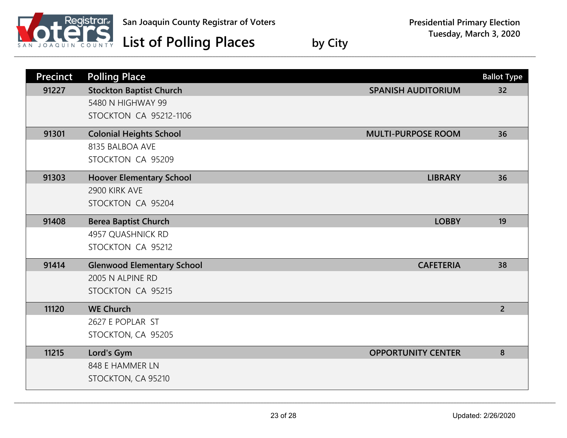

| <b>Precinct</b> | <b>Polling Place</b>              |                           | <b>Ballot Type</b> |
|-----------------|-----------------------------------|---------------------------|--------------------|
| 91227           | <b>Stockton Baptist Church</b>    | <b>SPANISH AUDITORIUM</b> | 32                 |
|                 | 5480 N HIGHWAY 99                 |                           |                    |
|                 | <b>STOCKTON CA 95212-1106</b>     |                           |                    |
| 91301           | <b>Colonial Heights School</b>    | <b>MULTI-PURPOSE ROOM</b> | 36                 |
|                 | 8135 BALBOA AVE                   |                           |                    |
|                 | STOCKTON CA 95209                 |                           |                    |
| 91303           | <b>Hoover Elementary School</b>   | <b>LIBRARY</b>            | 36                 |
|                 | 2900 KIRK AVE                     |                           |                    |
|                 | STOCKTON CA 95204                 |                           |                    |
| 91408           | <b>Berea Baptist Church</b>       | <b>LOBBY</b>              | 19                 |
|                 | 4957 QUASHNICK RD                 |                           |                    |
|                 | STOCKTON CA 95212                 |                           |                    |
| 91414           | <b>Glenwood Elementary School</b> | <b>CAFETERIA</b>          | 38                 |
|                 | 2005 N ALPINE RD                  |                           |                    |
|                 | STOCKTON CA 95215                 |                           |                    |
| 11120           | <b>WE Church</b>                  |                           | $\overline{2}$     |
|                 | 2627 E POPLAR ST                  |                           |                    |
|                 | STOCKTON, CA 95205                |                           |                    |
| 11215           | Lord's Gym                        | <b>OPPORTUNITY CENTER</b> | 8                  |
|                 | 848 E HAMMER LN                   |                           |                    |
|                 | STOCKTON, CA 95210                |                           |                    |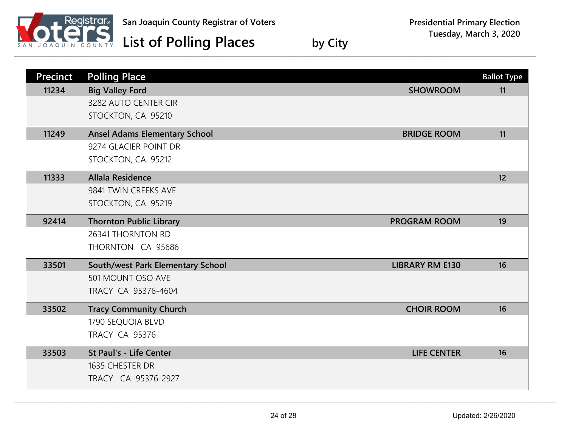

| <b>Precinct</b> | <b>Polling Place</b>                 |                        | <b>Ballot Type</b> |
|-----------------|--------------------------------------|------------------------|--------------------|
| 11234           | <b>Big Valley Ford</b>               | <b>SHOWROOM</b>        | 11                 |
|                 | 3282 AUTO CENTER CIR                 |                        |                    |
|                 | STOCKTON, CA 95210                   |                        |                    |
| 11249           | <b>Ansel Adams Elementary School</b> | <b>BRIDGE ROOM</b>     | 11                 |
|                 | 9274 GLACIER POINT DR                |                        |                    |
|                 | STOCKTON, CA 95212                   |                        |                    |
| 11333           | <b>Allala Residence</b>              |                        | 12                 |
|                 | 9841 TWIN CREEKS AVE                 |                        |                    |
|                 | STOCKTON, CA 95219                   |                        |                    |
| 92414           | <b>Thornton Public Library</b>       | <b>PROGRAM ROOM</b>    | 19                 |
|                 | 26341 THORNTON RD                    |                        |                    |
|                 | THORNTON CA 95686                    |                        |                    |
| 33501           | South/west Park Elementary School    | <b>LIBRARY RM E130</b> | 16                 |
|                 | 501 MOUNT OSO AVE                    |                        |                    |
|                 | TRACY CA 95376-4604                  |                        |                    |
| 33502           | <b>Tracy Community Church</b>        | <b>CHOIR ROOM</b>      | 16                 |
|                 | 1790 SEQUOIA BLVD                    |                        |                    |
|                 | <b>TRACY CA 95376</b>                |                        |                    |
| 33503           | St Paul's - Life Center              | <b>LIFE CENTER</b>     | 16                 |
|                 | 1635 CHESTER DR                      |                        |                    |
|                 | TRACY CA 95376-2927                  |                        |                    |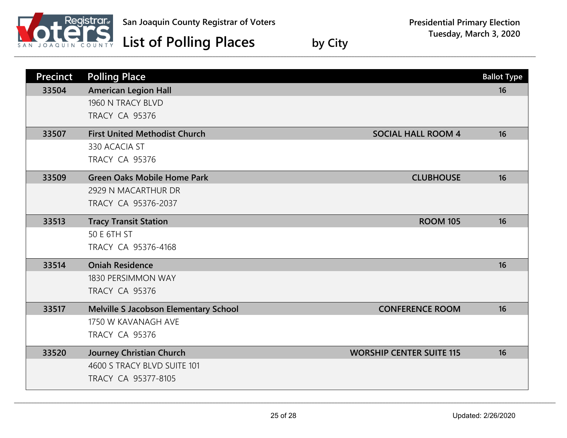

| Precinct | <b>Polling Place</b>                  |                                 | <b>Ballot Type</b> |
|----------|---------------------------------------|---------------------------------|--------------------|
| 33504    | <b>American Legion Hall</b>           |                                 | 16                 |
|          | 1960 N TRACY BLVD                     |                                 |                    |
|          | <b>TRACY CA 95376</b>                 |                                 |                    |
| 33507    | <b>First United Methodist Church</b>  | <b>SOCIAL HALL ROOM 4</b>       | 16                 |
|          | 330 ACACIA ST                         |                                 |                    |
|          | <b>TRACY CA 95376</b>                 |                                 |                    |
| 33509    | <b>Green Oaks Mobile Home Park</b>    | <b>CLUBHOUSE</b>                | 16                 |
|          | 2929 N MACARTHUR DR                   |                                 |                    |
|          | TRACY CA 95376-2037                   |                                 |                    |
| 33513    | <b>Tracy Transit Station</b>          | <b>ROOM 105</b>                 | 16                 |
|          | 50 E 6TH ST                           |                                 |                    |
|          | TRACY CA 95376-4168                   |                                 |                    |
| 33514    | <b>Oniah Residence</b>                |                                 | 16                 |
|          | 1830 PERSIMMON WAY                    |                                 |                    |
|          | <b>TRACY CA 95376</b>                 |                                 |                    |
| 33517    | Melville S Jacobson Elementary School | <b>CONFERENCE ROOM</b>          | 16                 |
|          | 1750 W KAVANAGH AVE                   |                                 |                    |
|          | <b>TRACY CA 95376</b>                 |                                 |                    |
| 33520    | <b>Journey Christian Church</b>       | <b>WORSHIP CENTER SUITE 115</b> | 16                 |
|          | 4600 S TRACY BLVD SUITE 101           |                                 |                    |
|          | TRACY CA 95377-8105                   |                                 |                    |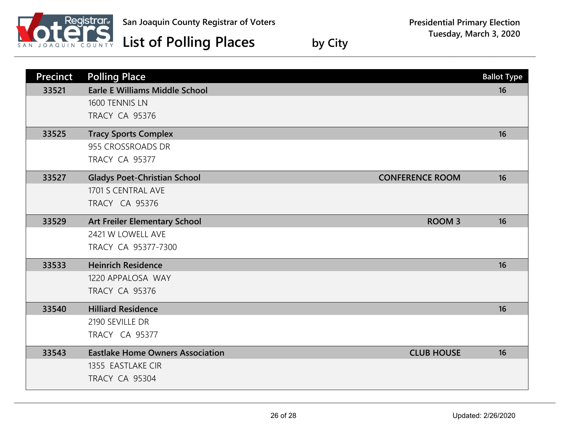

| <b>Precinct</b> | <b>Polling Place</b>                                          | <b>Ballot Type</b> |
|-----------------|---------------------------------------------------------------|--------------------|
| 33521           | <b>Earle E Williams Middle School</b>                         | 16                 |
|                 | 1600 TENNIS LN                                                |                    |
|                 | <b>TRACY CA 95376</b>                                         |                    |
| 33525           | <b>Tracy Sports Complex</b>                                   | 16                 |
|                 | 955 CROSSROADS DR                                             |                    |
|                 | TRACY CA 95377                                                |                    |
| 33527           | <b>Gladys Poet-Christian School</b><br><b>CONFERENCE ROOM</b> | 16                 |
|                 | 1701 S CENTRAL AVE                                            |                    |
|                 | <b>TRACY CA 95376</b>                                         |                    |
| 33529           | Art Freiler Elementary School<br><b>ROOM3</b>                 | 16                 |
|                 | 2421 W LOWELL AVE                                             |                    |
|                 | TRACY CA 95377-7300                                           |                    |
| 33533           | <b>Heinrich Residence</b>                                     | 16                 |
|                 | 1220 APPALOSA WAY                                             |                    |
|                 | <b>TRACY CA 95376</b>                                         |                    |
| 33540           | <b>Hilliard Residence</b>                                     | 16                 |
|                 | 2190 SEVILLE DR                                               |                    |
|                 | <b>TRACY CA 95377</b>                                         |                    |
| 33543           | <b>Eastlake Home Owners Association</b><br><b>CLUB HOUSE</b>  | 16                 |
|                 | 1355 EASTLAKE CIR                                             |                    |
|                 | <b>TRACY CA 95304</b>                                         |                    |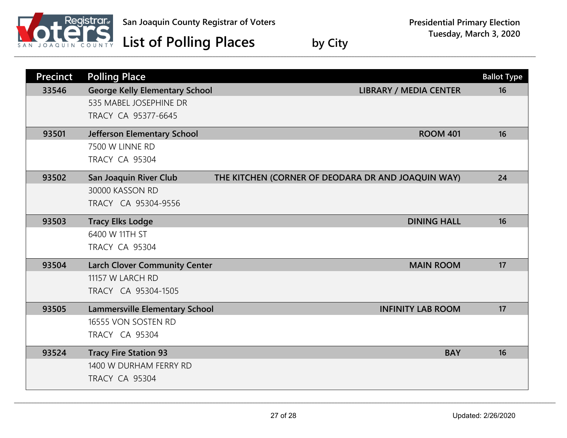

| <b>Precinct</b> | <b>Polling Place</b>                  |                                                    | <b>Ballot Type</b> |
|-----------------|---------------------------------------|----------------------------------------------------|--------------------|
| 33546           | <b>George Kelly Elementary School</b> | <b>LIBRARY / MEDIA CENTER</b>                      | 16                 |
|                 | 535 MABEL JOSEPHINE DR                |                                                    |                    |
|                 | TRACY CA 95377-6645                   |                                                    |                    |
| 93501           | Jefferson Elementary School           | <b>ROOM 401</b>                                    | 16                 |
|                 | 7500 W LINNE RD                       |                                                    |                    |
|                 | <b>TRACY CA 95304</b>                 |                                                    |                    |
| 93502           | San Joaquin River Club                | THE KITCHEN (CORNER OF DEODARA DR AND JOAQUIN WAY) | 24                 |
|                 | 30000 KASSON RD                       |                                                    |                    |
|                 | TRACY CA 95304-9556                   |                                                    |                    |
| 93503           | <b>Tracy Elks Lodge</b>               | <b>DINING HALL</b>                                 | 16                 |
|                 | 6400 W 11TH ST                        |                                                    |                    |
|                 | <b>TRACY CA 95304</b>                 |                                                    |                    |
| 93504           | <b>Larch Clover Community Center</b>  | <b>MAIN ROOM</b>                                   | 17                 |
|                 | 11157 W LARCH RD                      |                                                    |                    |
|                 | TRACY CA 95304-1505                   |                                                    |                    |
| 93505           | <b>Lammersville Elementary School</b> | <b>INFINITY LAB ROOM</b>                           | 17                 |
|                 | 16555 VON SOSTEN RD                   |                                                    |                    |
|                 | <b>TRACY CA 95304</b>                 |                                                    |                    |
| 93524           | <b>Tracy Fire Station 93</b>          | <b>BAY</b>                                         | 16                 |
|                 | 1400 W DURHAM FERRY RD                |                                                    |                    |
|                 | <b>TRACY CA 95304</b>                 |                                                    |                    |